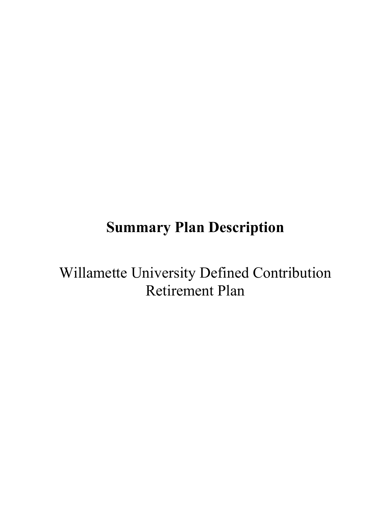# **Summary Plan Description**

Willamette University Defined Contribution Retirement Plan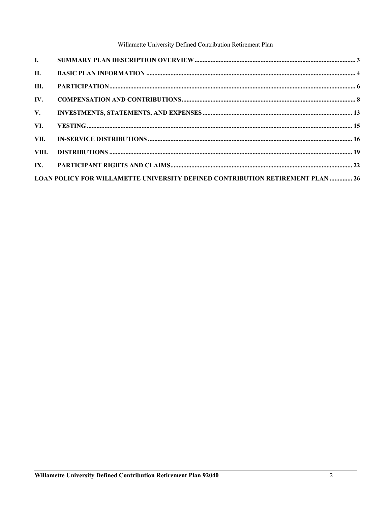Willamette University Defined Contribution Retirement Plan

| II.  |                                                                                |  |
|------|--------------------------------------------------------------------------------|--|
| Ш.   |                                                                                |  |
| IV.  |                                                                                |  |
| V.   |                                                                                |  |
| VI.  |                                                                                |  |
| VII. |                                                                                |  |
|      |                                                                                |  |
|      |                                                                                |  |
|      | LOAN POLICY FOR WILLAMETTE UNIVERSITY DEFINED CONTRIBUTION RETIREMENT PLAN  26 |  |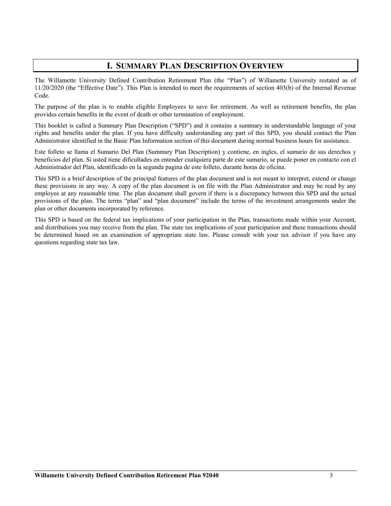# **I. SUMMARY PLAN DESCRIPTION OVERVIEW**

<span id="page-2-0"></span>The Willamette University Defined Contribution Retirement Plan (the "Plan") of Willamette University restated as of 11/20/2020 (the "Effective Date"). This Plan is intended to meet the requirements of section 403(b) of the Internal Revenue Code.

The purpose of the plan is to enable eligible Employees to save for retirement. As well as retirement benefits, the plan provides certain benefits in the event of death or other termination of employment.

This booklet is called a Summary Plan Description ("SPD") and it contains a summary in understandable language of your rights and benefits under the plan. If you have difficulty understanding any part of this SPD, you should contact the Plan Administrator identified in the Basic Plan Information section of this document during normal business hours for assistance.

Este folleto se llama el Sumario Del Plan (Summary Plan Description) y contiene, en ingles, el sumario de sus derechos y beneficios del plan. Si usted tiene dificultades en entender cualquiera parte de este sumario, se puede poner en contacto con el Administrador del Plan, identificado en la segunda pagina de este folleto, durante horas de oficina.

This SPD is a brief description of the principal features of the plan document and is not meant to interpret, extend or change these provisions in any way. A copy of the plan document is on file with the Plan Administrator and may be read by any employee at any reasonable time. The plan document shall govern if there is a discrepancy between this SPD and the actual provisions of the plan. The terms "plan" and "plan document" include the terms of the investment arrangements under the plan or other documents incorporated by reference.

This SPD is based on the federal tax implications of your participation in the Plan, transactions made within your Account, and distributions you may receive from the plan. The state tax implications of your participation and these transactions should be determined based on an examination of appropriate state law. Please consult with your tax advisor if you have any questions regarding state tax law.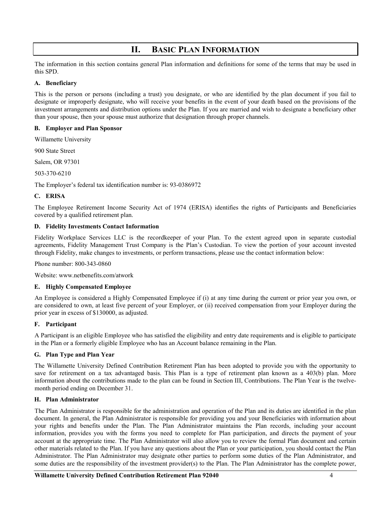# **II. BASIC PLAN INFORMATION**

<span id="page-3-0"></span>The information in this section contains general Plan information and definitions for some of the terms that may be used in this SPD.

#### **A. Beneficiary**

This is the person or persons (including a trust) you designate, or who are identified by the plan document if you fail to designate or improperly designate, who will receive your benefits in the event of your death based on the provisions of the investment arrangements and distribution options under the Plan. If you are married and wish to designate a beneficiary other than your spouse, then your spouse must authorize that designation through proper channels.

#### **B. Employer and Plan Sponsor**

Willamette University

900 State Street

Salem, OR 97301

503-370-6210

The Employer's federal tax identification number is: 93-0386972

#### **C. ERISA**

The Employee Retirement Income Security Act of 1974 (ERISA) identifies the rights of Participants and Beneficiaries covered by a qualified retirement plan.

#### **D. Fidelity Investments Contact Information**

Fidelity Workplace Services LLC is the recordkeeper of your Plan. To the extent agreed upon in separate custodial agreements, Fidelity Management Trust Company is the Plan's Custodian. To view the portion of your account invested through Fidelity, make changes to investments, or perform transactions, please use the contact information below:

Phone number: 800-343-0860

Website: www.netbenefits.com/atwork

# **E. Highly Compensated Employee**

An Employee is considered a Highly Compensated Employee if (i) at any time during the current or prior year you own, or are considered to own, at least five percent of your Employer, or (ii) received compensation from your Employer during the prior year in excess of \$130000, as adjusted.

# **F. Participant**

A Participant is an eligible Employee who has satisfied the eligibility and entry date requirements and is eligible to participate in the Plan or a formerly eligible Employee who has an Account balance remaining in the Plan.

#### **G. Plan Type and Plan Year**

The Willamette University Defined Contribution Retirement Plan has been adopted to provide you with the opportunity to save for retirement on a tax advantaged basis. This Plan is a type of retirement plan known as a 403(b) plan. More information about the contributions made to the plan can be found in Section III, Contributions. The Plan Year is the twelvemonth period ending on December 31.

#### **H. Plan Administrator**

The Plan Administrator is responsible for the administration and operation of the Plan and its duties are identified in the plan document. In general, the Plan Administrator is responsible for providing you and your Beneficiaries with information about your rights and benefits under the Plan. The Plan Administrator maintains the Plan records, including your account information, provides you with the forms you need to complete for Plan participation, and directs the payment of your account at the appropriate time. The Plan Administrator will also allow you to review the formal Plan document and certain other materials related to the Plan. If you have any questions about the Plan or your participation, you should contact the Plan Administrator. The Plan Administrator may designate other parties to perform some duties of the Plan Administrator, and some duties are the responsibility of the investment provider(s) to the Plan. The Plan Administrator has the complete power,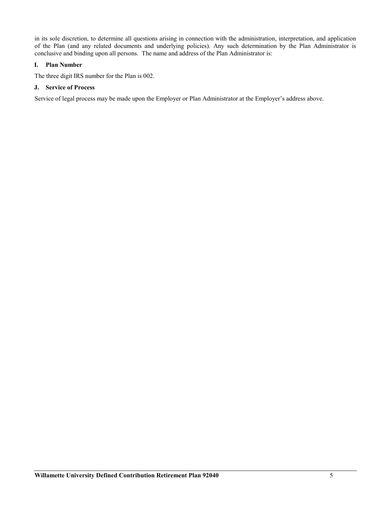in its sole discretion, to determine all questions arising in connection with the administration, interpretation, and application of the Plan (and any related documents and underlying policies). Any such determination by the Plan Administrator is conclusive and binding upon all persons. The name and address of the Plan Administrator is:

# **I. Plan Number**

The three digit IRS number for the Plan is 002.

# **J. Service of Process**

Service of legal process may be made upon the Employer or Plan Administrator at the Employer's address above.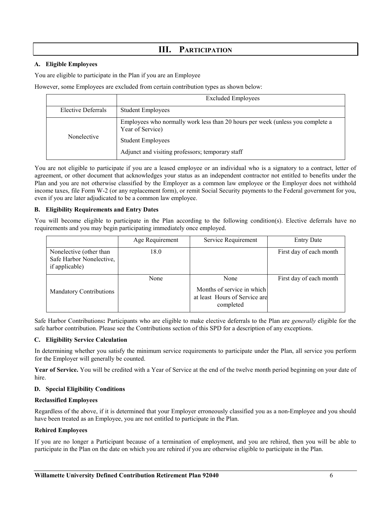# **III. PARTICIPATION**

# <span id="page-5-0"></span>**A. Eligible Employees**

You are eligible to participate in the Plan if you are an Employee

However, some Employees are excluded from certain contribution types as shown below:

|                    | <b>Excluded Employees</b>                                                                          |  |  |
|--------------------|----------------------------------------------------------------------------------------------------|--|--|
| Elective Deferrals | <b>Student Employees</b>                                                                           |  |  |
|                    | Employees who normally work less than 20 hours per week (unless you complete a<br>Year of Service) |  |  |
| Nonelective        | <b>Student Employees</b>                                                                           |  |  |
|                    | Adjunct and visiting professors; temporary staff                                                   |  |  |

You are not eligible to participate if you are a leased employee or an individual who is a signatory to a contract, letter of agreement, or other document that acknowledges your status as an independent contractor not entitled to benefits under the Plan and you are not otherwise classified by the Employer as a common law employee or the Employer does not withhold income taxes, file Form W-2 (or any replacement form), or remit Social Security payments to the Federal government for you, even if you are later adjudicated to be a common law employee.

# **B. Eligibility Requirements and Entry Dates**

You will become eligible to participate in the Plan according to the following condition(s). Elective deferrals have no requirements and you may begin participating immediately once employed.

|                                                                       | Age Requirement | Service Requirement                                                              | <b>Entry Date</b>       |
|-----------------------------------------------------------------------|-----------------|----------------------------------------------------------------------------------|-------------------------|
| Nonelective (other than<br>Safe Harbor Nonelective,<br>if applicable) | 18.0            |                                                                                  | First day of each month |
| <b>Mandatory Contributions</b>                                        | None            | None<br>Months of service in which<br>at least Hours of Service are<br>completed | First day of each month |

Safe Harbor Contributions**:** Participants who are eligible to make elective deferrals to the Plan are *generally* eligible for the safe harbor contribution. Please see the Contributions section of this SPD for a description of any exceptions.

# **C. Eligibility Service Calculation**

In determining whether you satisfy the minimum service requirements to participate under the Plan, all service you perform for the Employer will generally be counted.

**Year of Service.** You will be credited with a Year of Service at the end of the twelve month period beginning on your date of hire.

# **D. Special Eligibility Conditions**

# **Reclassified Employees**

Regardless of the above, if it is determined that your Employer erroneously classified you as a non-Employee and you should have been treated as an Employee, you are not entitled to participate in the Plan.

# **Rehired Employees**

If you are no longer a Participant because of a termination of employment, and you are rehired, then you will be able to participate in the Plan on the date on which you are rehired if you are otherwise eligible to participate in the Plan.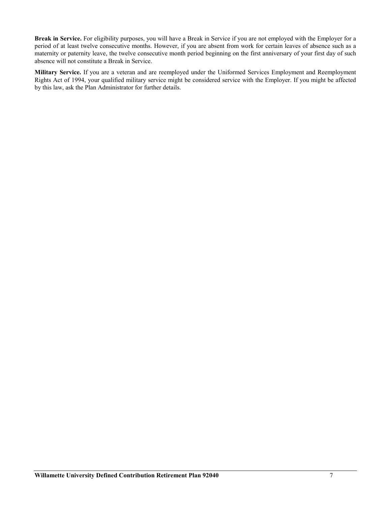**Break in Service.** For eligibility purposes, you will have a Break in Service if you are not employed with the Employer for a period of at least twelve consecutive months. However, if you are absent from work for certain leaves of absence such as a maternity or paternity leave, the twelve consecutive month period beginning on the first anniversary of your first day of such absence will not constitute a Break in Service.

**Military Service.** If you are a veteran and are reemployed under the Uniformed Services Employment and Reemployment Rights Act of 1994, your qualified military service might be considered service with the Employer. If you might be affected by this law, ask the Plan Administrator for further details.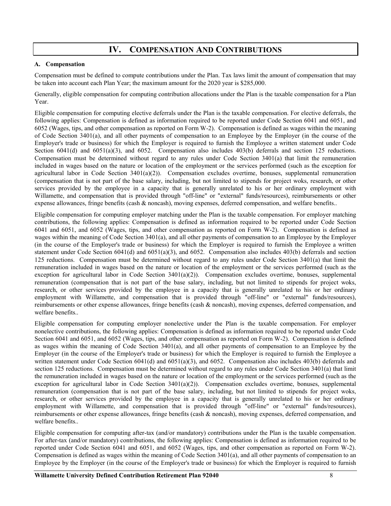# **IV. COMPENSATION AND CONTRIBUTIONS**

#### <span id="page-7-0"></span>**A. Compensation**

Compensation must be defined to compute contributions under the Plan. Tax laws limit the amount of compensation that may be taken into account each Plan Year; the maximum amount for the 2020 year is \$285,000.

Generally, eligible compensation for computing contribution allocations under the Plan is the taxable compensation for a Plan Year.

Eligible compensation for computing elective deferrals under the Plan is the taxable compensation. For elective deferrals, the following applies: Compensation is defined as information required to be reported under Code Section 6041 and 6051, and 6052 (Wages, tips, and other compensation as reported on Form W-2). Compensation is defined as wages within the meaning of Code Section 3401(a), and all other payments of compensation to an Employee by the Employer (in the course of the Employer's trade or business) for which the Employer is required to furnish the Employee a written statement under Code Section 6041(d) and 6051(a)(3), and 6052. Compensation also includes 403(b) deferrals and section 125 reductions. Compensation must be determined without regard to any rules under Code Section 3401(a) that limit the remuneration included in wages based on the nature or location of the employment or the services performed (such as the exception for agricultural labor in Code Section  $3401(a)(2)$ . Compensation excludes overtime, bonuses, supplemental remuneration (compensation that is not part of the base salary, including, but not limited to stipends for project woks, research, or other services provided by the employee in a capacity that is generally unrelated to his or her ordinary employment with Willamette, and compensation that is provided through "off-line" or "external" funds/resources), reimbursements or other expense allowances, fringe benefits (cash & noncash), moving expenses, deferred compensation, and welfare benefits..

Eligible compensation for computing employer matching under the Plan is the taxable compensation. For employer matching contributions, the following applies: Compensation is defined as information required to be reported under Code Section 6041 and 6051, and 6052 (Wages, tips, and other compensation as reported on Form W-2). Compensation is defined as wages within the meaning of Code Section 3401(a), and all other payments of compensation to an Employee by the Employer (in the course of the Employer's trade or business) for which the Employer is required to furnish the Employee a written statement under Code Section  $6041(d)$  and  $6051(a)(3)$ , and  $6052$ . Compensation also includes  $403(b)$  deferrals and section 125 reductions. Compensation must be determined without regard to any rules under Code Section 3401(a) that limit the remuneration included in wages based on the nature or location of the employment or the services performed (such as the exception for agricultural labor in Code Section  $3401(a)(2)$ ). Compensation excludes overtime, bonuses, supplemental remuneration (compensation that is not part of the base salary, including, but not limited to stipends for project woks, research, or other services provided by the employee in a capacity that is generally unrelated to his or her ordinary employment with Willamette, and compensation that is provided through "off-line" or "external" funds/resources), reimbursements or other expense allowances, fringe benefits (cash & noncash), moving expenses, deferred compensation, and welfare benefits..

Eligible compensation for computing employer nonelective under the Plan is the taxable compensation. For employer nonelective contributions, the following applies: Compensation is defined as information required to be reported under Code Section 6041 and 6051, and 6052 (Wages, tips, and other compensation as reported on Form W-2). Compensation is defined as wages within the meaning of Code Section 3401(a), and all other payments of compensation to an Employee by the Employer (in the course of the Employer's trade or business) for which the Employer is required to furnish the Employee a written statement under Code Section 6041(d) and 6051(a)(3), and 6052. Compensation also includes 403(b) deferrals and section 125 reductions. Compensation must be determined without regard to any rules under Code Section 3401(a) that limit the remuneration included in wages based on the nature or location of the employment or the services performed (such as the exception for agricultural labor in Code Section  $3401(a)(2)$ ). Compensation excludes overtime, bonuses, supplemental remuneration (compensation that is not part of the base salary, including, but not limited to stipends for project woks, research, or other services provided by the employee in a capacity that is generally unrelated to his or her ordinary employment with Willamette, and compensation that is provided through "off-line" or "external" funds/resources), reimbursements or other expense allowances, fringe benefits (cash & noncash), moving expenses, deferred compensation, and welfare benefits..

Eligible compensation for computing after-tax (and/or mandatory) contributions under the Plan is the taxable compensation. For after-tax (and/or mandatory) contributions, the following applies: Compensation is defined as information required to be reported under Code Section 6041 and 6051, and 6052 (Wages, tips, and other compensation as reported on Form W-2). Compensation is defined as wages within the meaning of Code Section 3401(a), and all other payments of compensation to an Employee by the Employer (in the course of the Employer's trade or business) for which the Employer is required to furnish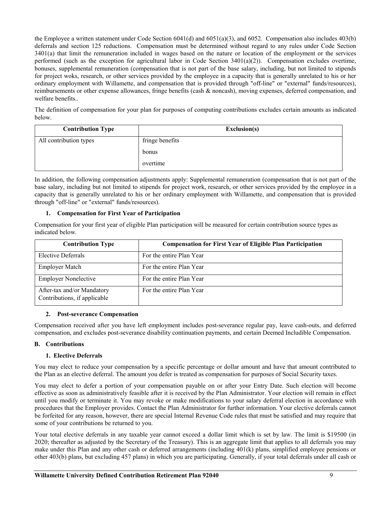the Employee a written statement under Code Section  $6041(d)$  and  $6051(a)(3)$ , and  $6052$ . Compensation also includes  $403(b)$ deferrals and section 125 reductions. Compensation must be determined without regard to any rules under Code Section 3401(a) that limit the remuneration included in wages based on the nature or location of the employment or the services performed (such as the exception for agricultural labor in Code Section  $3401(a)(2)$ ). Compensation excludes overtime, bonuses, supplemental remuneration (compensation that is not part of the base salary, including, but not limited to stipends for project woks, research, or other services provided by the employee in a capacity that is generally unrelated to his or her ordinary employment with Willamette, and compensation that is provided through "off-line" or "external" funds/resources), reimbursements or other expense allowances, fringe benefits (cash  $\&$  noncash), moving expenses, deferred compensation, and welfare benefits..

The definition of compensation for your plan for purposes of computing contributions excludes certain amounts as indicated below.

| <b>Contribution Type</b> | <b>Exclusion(s)</b> |
|--------------------------|---------------------|
| All contribution types   | fringe benefits     |
|                          | bonus               |
|                          | overtime            |

In addition, the following compensation adjustments apply: Supplemental remuneration (compensation that is not part of the base salary, including but not limited to stipends for project work, research, or other services provided by the employee in a capacity that is generally unrelated to his or her ordinary employment with Willamette, and compensation that is provided through "off-line" or "external" funds/resources).

# **1. Compensation for First Year of Participation**

Compensation for your first year of eligible Plan participation will be measured for certain contribution source types as indicated below.

| <b>Contribution Type</b>                                   | <b>Compensation for First Year of Eligible Plan Participation</b> |
|------------------------------------------------------------|-------------------------------------------------------------------|
| Elective Deferrals                                         | For the entire Plan Year                                          |
| <b>Employer Match</b>                                      | For the entire Plan Year                                          |
| <b>Employer Nonelective</b>                                | For the entire Plan Year                                          |
| After-tax and/or Mandatory<br>Contributions, if applicable | For the entire Plan Year                                          |

# **2. Post-severance Compensation**

Compensation received after you have left employment includes post-severance regular pay, leave cash-outs, and deferred compensation, and excludes post-severance disability continuation payments, and certain Deemed Includible Compensation.

# **B. Contributions**

# **1. Elective Deferrals**

You may elect to reduce your compensation by a specific percentage or dollar amount and have that amount contributed to the Plan as an elective deferral. The amount you defer is treated as compensation for purposes of Social Security taxes.

You may elect to defer a portion of your compensation payable on or after your Entry Date. Such election will become effective as soon as administratively feasible after it is received by the Plan Administrator. Your election will remain in effect until you modify or terminate it. You may revoke or make modifications to your salary deferral election in accordance with procedures that the Employer provides. Contact the Plan Administrator for further information. Your elective deferrals cannot be forfeited for any reason, however, there are special Internal Revenue Code rules that must be satisfied and may require that some of your contributions be returned to you.

Your total elective deferrals in any taxable year cannot exceed a dollar limit which is set by law. The limit is \$19500 (in 2020; thereafter as adjusted by the Secretary of the Treasury). This is an aggregate limit that applies to all deferrals you may make under this Plan and any other cash or deferred arrangements (including 401(k) plans, simplified employee pensions or other 403(b) plans, but excluding 457 plans) in which you are participating. Generally, if your total deferrals under all cash or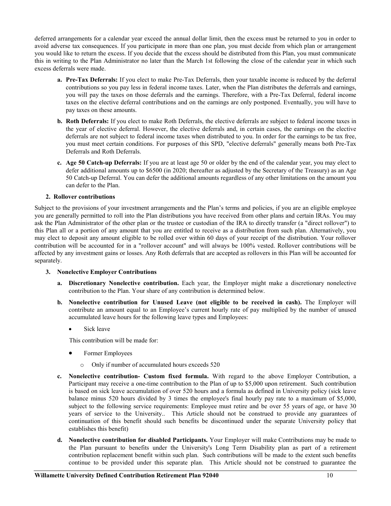deferred arrangements for a calendar year exceed the annual dollar limit, then the excess must be returned to you in order to avoid adverse tax consequences. If you participate in more than one plan, you must decide from which plan or arrangement you would like to return the excess. If you decide that the excess should be distributed from this Plan, you must communicate this in writing to the Plan Administrator no later than the March 1st following the close of the calendar year in which such excess deferrals were made.

- **a. Pre-Tax Deferrals:** If you elect to make Pre-Tax Deferrals, then your taxable income is reduced by the deferral contributions so you pay less in federal income taxes. Later, when the Plan distributes the deferrals and earnings, you will pay the taxes on those deferrals and the earnings. Therefore, with a Pre-Tax Deferral, federal income taxes on the elective deferral contributions and on the earnings are only postponed. Eventually, you will have to pay taxes on these amounts.
- **b. Roth Deferrals:** If you elect to make Roth Deferrals, the elective deferrals are subject to federal income taxes in the year of elective deferral. However, the elective deferrals and, in certain cases, the earnings on the elective deferrals are not subject to federal income taxes when distributed to you. In order for the earnings to be tax free, you must meet certain conditions. For purposes of this SPD, "elective deferrals" generally means both Pre-Tax Deferrals and Roth Deferrals.
- **c. Age 50 Catch-up Deferrals:** If you are at least age 50 or older by the end of the calendar year, you may elect to defer additional amounts up to \$6500 (in 2020; thereafter as adjusted by the Secretary of the Treasury) as an Age 50 Catch-up Deferral. You can defer the additional amounts regardless of any other limitations on the amount you can defer to the Plan.

# **2. Rollover contributions**

Subject to the provisions of your investment arrangements and the Plan's terms and policies, if you are an eligible employee you are generally permitted to roll into the Plan distributions you have received from other plans and certain IRAs. You may ask the Plan Administrator of the other plan or the trustee or custodian of the IRA to directly transfer (a "direct rollover") to this Plan all or a portion of any amount that you are entitled to receive as a distribution from such plan. Alternatively, you may elect to deposit any amount eligible to be rolled over within 60 days of your receipt of the distribution. Your rollover contribution will be accounted for in a "rollover account" and will always be 100% vested. Rollover contributions will be affected by any investment gains or losses. Any Roth deferrals that are accepted as rollovers in this Plan will be accounted for separately.

# **3. Nonelective Employer Contributions**

- **a. Discretionary Nonelective contribution.** Each year, the Employer might make a discretionary nonelective contribution to the Plan. Your share of any contribution is determined below.
- **b. Nonelective contribution for Unused Leave (not eligible to be received in cash).** The Employer will contribute an amount equal to an Employee's current hourly rate of pay multiplied by the number of unused accumulated leave hours for the following leave types and Employees:
	- Sick leave

This contribution will be made for:

- Former Employees
	- o Only if number of accumulated hours exceeds 520
- **c. Nonelective contribution- Custom fixed formula.** With regard to the above Employer Contribution, a Participant may receive a one-time contribution to the Plan of up to \$5,000 upon retirement. Such contribution is based on sick leave accumulation of over 520 hours and a formula as defined in University policy (sick leave balance minus 520 hours divided by 3 times the employee's final hourly pay rate to a maximum of \$5,000, subject to the following service requirements: Employee must retire and be over 55 years of age, or have 30 years of service to the University.. This Article should not be construed to provide any guarantees of continuation of this benefit should such benefits be discontinued under the separate University policy that establishes this benefit)
- **d. Nonelective contribution for disabled Participants.** Your Employer will make Contributions may be made to the Plan pursuant to benefits under the University's Long Term Disability plan as part of a retirement contribution replacement benefit within such plan. Such contributions will be made to the extent such benefits continue to be provided under this separate plan. This Article should not be construed to guarantee the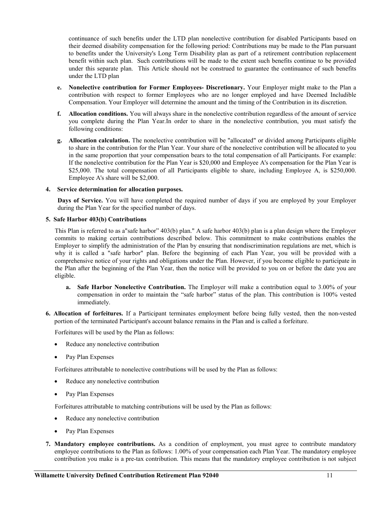continuance of such benefits under the LTD plan nonelective contribution for disabled Participants based on their deemed disability compensation for the following period: Contributions may be made to the Plan pursuant to benefits under the University's Long Term Disability plan as part of a retirement contribution replacement benefit within such plan. Such contributions will be made to the extent such benefits continue to be provided under this separate plan. This Article should not be construed to guarantee the continuance of such benefits under the LTD plan

- **e. Nonelective contribution for Former Employees- Discretionary.** Your Employer might make to the Plan a contribution with respect to former Employees who are no longer employed and have Deemed Includible Compensation. Your Employer will determine the amount and the timing of the Contribution in its discretion.
- **f. Allocation conditions.** You will always share in the nonelective contribution regardless of the amount of service you complete during the Plan Year.In order to share in the nonelective contribution, you must satisfy the following conditions:
- **g. Allocation calculation.** The nonelective contribution will be "allocated" or divided among Participants eligible to share in the contribution for the Plan Year. Your share of the nonelective contribution will be allocated to you in the same proportion that your compensation bears to the total compensation of all Participants. For example: If the nonelective contribution for the Plan Year is \$20,000 and Employee A's compensation for the Plan Year is \$25,000. The total compensation of all Participants eligible to share, including Employee A, is \$250,000. Employee A's share will be \$2,000.

#### **4. Service determination for allocation purposes.**

**Days of Service.** You will have completed the required number of days if you are employed by your Employer during the Plan Year for the specified number of days.

#### **5. Safe Harbor 403(b) Contributions**

This Plan is referred to as a"safe harbor" 403(b) plan." A safe harbor 403(b) plan is a plan design where the Employer commits to making certain contributions described below. This commitment to make contributions enables the Employer to simplify the administration of the Plan by ensuring that nondiscrimination regulations are met, which is why it is called a "safe harbor" plan. Before the beginning of each Plan Year, you will be provided with a comprehensive notice of your rights and obligations under the Plan. However, if you become eligible to participate in the Plan after the beginning of the Plan Year, then the notice will be provided to you on or before the date you are eligible.

- **a. Safe Harbor Nonelective Contribution.** The Employer will make a contribution equal to 3.00% of your compensation in order to maintain the "safe harbor" status of the plan. This contribution is 100% vested immediately.
- **6. Allocation of forfeitures.** If a Participant terminates employment before being fully vested, then the non-vested portion of the terminated Participant's account balance remains in the Plan and is called a forfeiture.

Forfeitures will be used by the Plan as follows:

- Reduce any nonelective contribution
- Pay Plan Expenses

Forfeitures attributable to nonelective contributions will be used by the Plan as follows:

- Reduce any nonelective contribution
- Pay Plan Expenses

Forfeitures attributable to matching contributions will be used by the Plan as follows:

- Reduce any nonelective contribution
- Pay Plan Expenses
- **7. Mandatory employee contributions.** As a condition of employment, you must agree to contribute mandatory employee contributions to the Plan as follows: 1.00% of your compensation each Plan Year. The mandatory employee contribution you make is a pre-tax contribution. This means that the mandatory employee contribution is not subject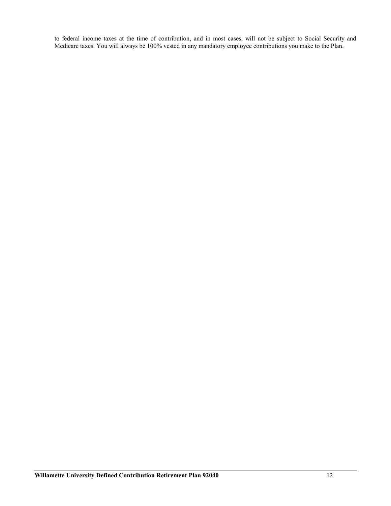to federal income taxes at the time of contribution, and in most cases, will not be subject to Social Security and Medicare taxes. You will always be 100% vested in any mandatory employee contributions you make to the Plan.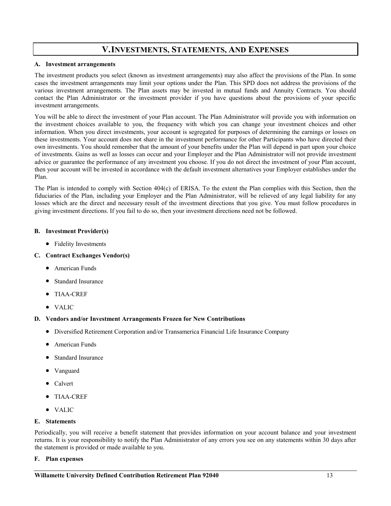# **V.INVESTMENTS, STATEMENTS, AND EXPENSES**

#### <span id="page-12-0"></span>**A. Investment arrangements**

The investment products you select (known as investment arrangements) may also affect the provisions of the Plan. In some cases the investment arrangements may limit your options under the Plan. This SPD does not address the provisions of the various investment arrangements. The Plan assets may be invested in mutual funds and Annuity Contracts. You should contact the Plan Administrator or the investment provider if you have questions about the provisions of your specific investment arrangements.

You will be able to direct the investment of your Plan account. The Plan Administrator will provide you with information on the investment choices available to you, the frequency with which you can change your investment choices and other information. When you direct investments, your account is segregated for purposes of determining the earnings or losses on these investments. Your account does not share in the investment performance for other Participants who have directed their own investments. You should remember that the amount of your benefits under the Plan will depend in part upon your choice of investments. Gains as well as losses can occur and your Employer and the Plan Administrator will not provide investment advice or guarantee the performance of any investment you choose. If you do not direct the investment of your Plan account, then your account will be invested in accordance with the default investment alternatives your Employer establishes under the Plan.

The Plan is intended to comply with Section 404(c) of ERISA. To the extent the Plan complies with this Section, then the fiduciaries of the Plan, including your Employer and the Plan Administrator, will be relieved of any legal liability for any losses which are the direct and necessary result of the investment directions that you give. You must follow procedures in giving investment directions. If you fail to do so, then your investment directions need not be followed.

# **B. Investment Provider(s)**

• Fidelity Investments

# **C. Contract Exchanges Vendor(s)**

- American Funds
- Standard Insurance
- TIAA-CREF
- VALIC

#### **D. Vendors and/or Investment Arrangements Frozen for New Contributions**

- Diversified Retirement Corporation and/or Transamerica Financial Life Insurance Company
- American Funds
- Standard Insurance
- Vanguard
- Calvert
- TIAA-CREF
- VALIC

#### **E. Statements**

Periodically, you will receive a benefit statement that provides information on your account balance and your investment returns. It is your responsibility to notify the Plan Administrator of any errors you see on any statements within 30 days after the statement is provided or made available to you.

#### **F. Plan expenses**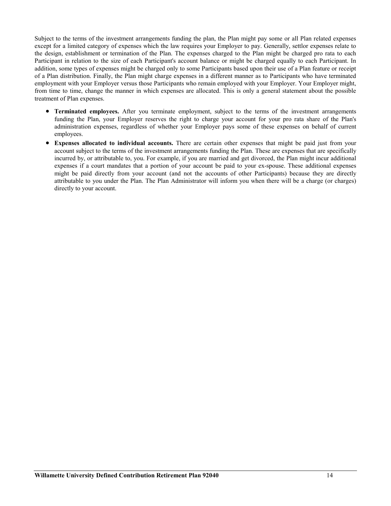Subject to the terms of the investment arrangements funding the plan, the Plan might pay some or all Plan related expenses except for a limited category of expenses which the law requires your Employer to pay. Generally, settlor expenses relate to the design, establishment or termination of the Plan. The expenses charged to the Plan might be charged pro rata to each Participant in relation to the size of each Participant's account balance or might be charged equally to each Participant. In addition, some types of expenses might be charged only to some Participants based upon their use of a Plan feature or receipt of a Plan distribution. Finally, the Plan might charge expenses in a different manner as to Participants who have terminated employment with your Employer versus those Participants who remain employed with your Employer. Your Employer might, from time to time, change the manner in which expenses are allocated. This is only a general statement about the possible treatment of Plan expenses.

- **Terminated employees.** After you terminate employment, subject to the terms of the investment arrangements funding the Plan, your Employer reserves the right to charge your account for your pro rata share of the Plan's administration expenses, regardless of whether your Employer pays some of these expenses on behalf of current employees.
- **Expenses allocated to individual accounts.** There are certain other expenses that might be paid just from your account subject to the terms of the investment arrangements funding the Plan. These are expenses that are specifically incurred by, or attributable to, you. For example, if you are married and get divorced, the Plan might incur additional expenses if a court mandates that a portion of your account be paid to your ex-spouse. These additional expenses might be paid directly from your account (and not the accounts of other Participants) because they are directly attributable to you under the Plan. The Plan Administrator will inform you when there will be a charge (or charges) directly to your account.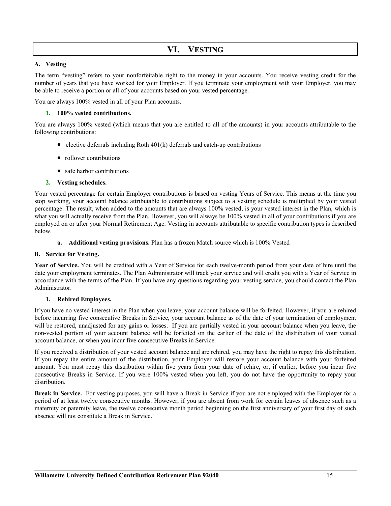# <span id="page-14-0"></span>**A. Vesting**

The term "vesting" refers to your nonforfeitable right to the money in your accounts. You receive vesting credit for the number of years that you have worked for your Employer. If you terminate your employment with your Employer, you may be able to receive a portion or all of your accounts based on your vested percentage.

You are always 100% vested in all of your Plan accounts.

# **1. 100% vested contributions.**

You are always 100% vested (which means that you are entitled to all of the amounts) in your accounts attributable to the following contributions:

- elective deferrals including Roth  $401(k)$  deferrals and catch-up contributions
- rollover contributions
- safe harbor contributions

# **2. Vesting schedules.**

Your vested percentage for certain Employer contributions is based on vesting Years of Service. This means at the time you stop working, your account balance attributable to contributions subject to a vesting schedule is multiplied by your vested percentage. The result, when added to the amounts that are always 100% vested, is your vested interest in the Plan, which is what you will actually receive from the Plan. However, you will always be 100% vested in all of your contributions if you are employed on or after your Normal Retirement Age. Vesting in accounts attributable to specific contribution types is described below.

**a. Additional vesting provisions.** Plan has a frozen Match source which is 100% Vested

# **B. Service for Vesting.**

**Year of Service.** You will be credited with a Year of Service for each twelve-month period from your date of hire until the date your employment terminates. The Plan Administrator will track your service and will credit you with a Year of Service in accordance with the terms of the Plan. If you have any questions regarding your vesting service, you should contact the Plan Administrator.

# **1. Rehired Employees.**

If you have no vested interest in the Plan when you leave, your account balance will be forfeited. However, if you are rehired before incurring five consecutive Breaks in Service, your account balance as of the date of your termination of employment will be restored, unadjusted for any gains or losses. If you are partially vested in your account balance when you leave, the non-vested portion of your account balance will be forfeited on the earlier of the date of the distribution of your vested account balance, or when you incur five consecutive Breaks in Service.

If you received a distribution of your vested account balance and are rehired, you may have the right to repay this distribution. If you repay the entire amount of the distribution, your Employer will restore your account balance with your forfeited amount. You must repay this distribution within five years from your date of rehire, or, if earlier, before you incur five consecutive Breaks in Service. If you were 100% vested when you left, you do not have the opportunity to repay your distribution.

**Break in Service.** For vesting purposes, you will have a Break in Service if you are not employed with the Employer for a period of at least twelve consecutive months. However, if you are absent from work for certain leaves of absence such as a maternity or paternity leave, the twelve consecutive month period beginning on the first anniversary of your first day of such absence will not constitute a Break in Service.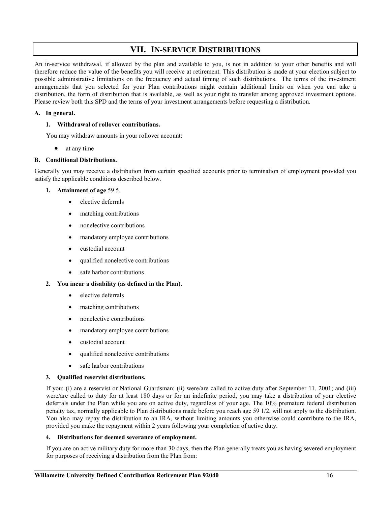# **VII. IN-SERVICE DISTRIBUTIONS**

<span id="page-15-0"></span>An in-service withdrawal, if allowed by the plan and available to you, is not in addition to your other benefits and will therefore reduce the value of the benefits you will receive at retirement. This distribution is made at your election subject to possible administrative limitations on the frequency and actual timing of such distributions. The terms of the investment arrangements that you selected for your Plan contributions might contain additional limits on when you can take a distribution, the form of distribution that is available, as well as your right to transfer among approved investment options. Please review both this SPD and the terms of your investment arrangements before requesting a distribution.

# **A. In general.**

#### **1. Withdrawal of rollover contributions.**

You may withdraw amounts in your rollover account:

• at any time

#### **B. Conditional Distributions.**

Generally you may receive a distribution from certain specified accounts prior to termination of employment provided you satisfy the applicable conditions described below.

#### **1. Attainment of age** 59.5.

- elective deferrals
- matching contributions
- nonelective contributions
- mandatory employee contributions
- custodial account
- qualified nonelective contributions
- safe harbor contributions
- **2. You incur a disability (as defined in the Plan).**
	- elective deferrals
	- matching contributions
	- nonelective contributions
	- mandatory employee contributions
	- custodial account
	- qualified nonelective contributions
	- safe harbor contributions

# **3. Qualified reservist distributions.**

If you: (i) are a reservist or National Guardsman; (ii) were/are called to active duty after September 11, 2001; and (iii) were/are called to duty for at least 180 days or for an indefinite period, you may take a distribution of your elective deferrals under the Plan while you are on active duty, regardless of your age. The 10% premature federal distribution penalty tax, normally applicable to Plan distributions made before you reach age 59 1/2, will not apply to the distribution. You also may repay the distribution to an IRA, without limiting amounts you otherwise could contribute to the IRA, provided you make the repayment within 2 years following your completion of active duty.

# **4. Distributions for deemed severance of employment.**

If you are on active military duty for more than 30 days, then the Plan generally treats you as having severed employment for purposes of receiving a distribution from the Plan from: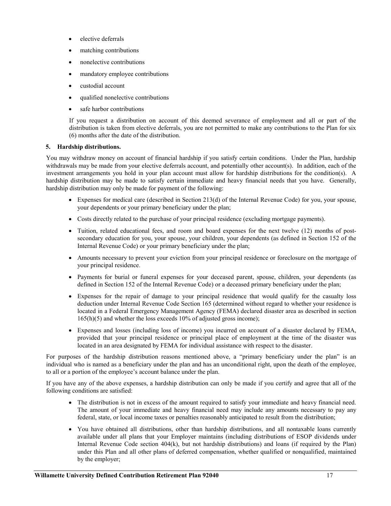- elective deferrals
- matching contributions
- nonelective contributions
- mandatory employee contributions
- custodial account
- qualified nonelective contributions
- safe harbor contributions

If you request a distribution on account of this deemed severance of employment and all or part of the distribution is taken from elective deferrals, you are not permitted to make any contributions to the Plan for six (6) months after the date of the distribution.

# **5. Hardship distributions.**

You may withdraw money on account of financial hardship if you satisfy certain conditions. Under the Plan, hardship withdrawals may be made from your elective deferrals account, and potentially other account(s). In addition, each of the investment arrangements you hold in your plan account must allow for hardship distributions for the condition(s). A hardship distribution may be made to satisfy certain immediate and heavy financial needs that you have. Generally, hardship distribution may only be made for payment of the following:

- Expenses for medical care (described in Section 213(d) of the Internal Revenue Code) for you, your spouse, your dependents or your primary beneficiary under the plan;
- Costs directly related to the purchase of your principal residence (excluding mortgage payments).
- Tuition, related educational fees, and room and board expenses for the next twelve (12) months of postsecondary education for you, your spouse, your children, your dependents (as defined in Section 152 of the Internal Revenue Code) or your primary beneficiary under the plan;
- Amounts necessary to prevent your eviction from your principal residence or foreclosure on the mortgage of your principal residence.
- Payments for burial or funeral expenses for your deceased parent, spouse, children, your dependents (as defined in Section 152 of the Internal Revenue Code) or a deceased primary beneficiary under the plan;
- Expenses for the repair of damage to your principal residence that would qualify for the casualty loss deduction under Internal Revenue Code Section 165 (determined without regard to whether your residence is located in a Federal Emergency Management Agency (FEMA) declared disaster area as described in section  $165(h)(5)$  and whether the loss exceeds  $10\%$  of adjusted gross income);
- Expenses and losses (including loss of income) you incurred on account of a disaster declared by FEMA, provided that your principal residence or principal place of employment at the time of the disaster was located in an area designated by FEMA for individual assistance with respect to the disaster.

For purposes of the hardship distribution reasons mentioned above, a "primary beneficiary under the plan" is an individual who is named as a beneficiary under the plan and has an unconditional right, upon the death of the employee, to all or a portion of the employee's account balance under the plan.

If you have any of the above expenses, a hardship distribution can only be made if you certify and agree that all of the following conditions are satisfied:

- The distribution is not in excess of the amount required to satisfy your immediate and heavy financial need. The amount of your immediate and heavy financial need may include any amounts necessary to pay any federal, state, or local income taxes or penalties reasonably anticipated to result from the distribution;
- You have obtained all distributions, other than hardship distributions, and all nontaxable loans currently available under all plans that your Employer maintains (including distributions of ESOP dividends under Internal Revenue Code section 404(k), but not hardship distributions) and loans (if required by the Plan) under this Plan and all other plans of deferred compensation, whether qualified or nonqualified, maintained by the employer;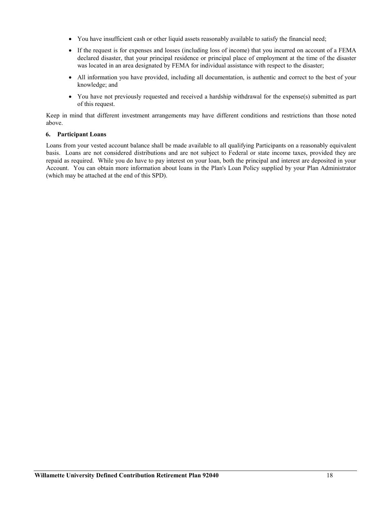- You have insufficient cash or other liquid assets reasonably available to satisfy the financial need;
- If the request is for expenses and losses (including loss of income) that you incurred on account of a FEMA declared disaster, that your principal residence or principal place of employment at the time of the disaster was located in an area designated by FEMA for individual assistance with respect to the disaster;
- All information you have provided, including all documentation, is authentic and correct to the best of your knowledge; and
- You have not previously requested and received a hardship withdrawal for the expense(s) submitted as part of this request.

Keep in mind that different investment arrangements may have different conditions and restrictions than those noted above.

# **6. Participant Loans**

Loans from your vested account balance shall be made available to all qualifying Participants on a reasonably equivalent basis. Loans are not considered distributions and are not subject to Federal or state income taxes, provided they are repaid as required. While you do have to pay interest on your loan, both the principal and interest are deposited in your Account. You can obtain more information about loans in the Plan's Loan Policy supplied by your Plan Administrator (which may be attached at the end of this SPD).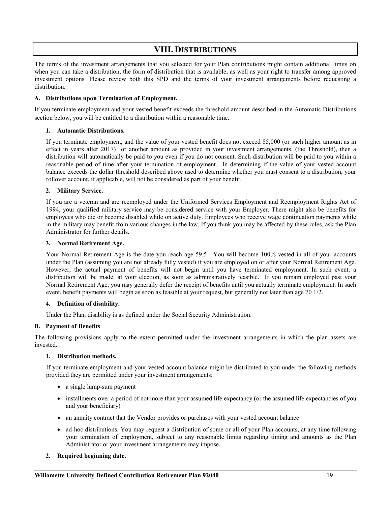# **VIII. DISTRIBUTIONS**

<span id="page-18-0"></span>The terms of the investment arrangements that you selected for your Plan contributions might contain additional limits on when you can take a distribution, the form of distribution that is available, as well as your right to transfer among approved investment options. Please review both this SPD and the terms of your investment arrangements before requesting a distribution.

#### **A. Distributions upon Termination of Employment.**

If you terminate employment and your vested benefit exceeds the threshold amount described in the Automatic Distributions section below, you will be entitled to a distribution within a reasonable time.

#### **1. Automatic Distributions.**

If you terminate employment, and the value of your vested benefit does not exceed \$5,000 (or such higher amount as in effect in years after 2017) or another amount as provided in your investment arrangements, (the Threshold), then a distribution will automatically be paid to you even if you do not consent. Such distribution will be paid to you within a reasonable period of time after your termination of employment. In determining if the value of your vested account balance exceeds the dollar threshold described above used to determine whether you must consent to a distribution, your rollover account, if applicable, will not be considered as part of your benefit.

#### **2. Military Service.**

If you are a veteran and are reemployed under the Uniformed Services Employment and Reemployment Rights Act of 1994, your qualified military service may be considered service with your Employer. There might also be benefits for employees who die or become disabled while on active duty. Employees who receive wage continuation payments while in the military may benefit from various changes in the law. If you think you may be affected by these rules, ask the Plan Administrator for further details.

#### **3. Normal Retirement Age.**

Your Normal Retirement Age is the date you reach age 59.5 . You will become 100% vested in all of your accounts under the Plan (assuming you are not already fully vested) if you are employed on or after your Normal Retirement Age. However, the actual payment of benefits will not begin until you have terminated employment. In such event, a distribution will be made, at your election, as soon as administratively feasible. If you remain employed past your Normal Retirement Age, you may generally defer the receipt of benefits until you actually terminate employment. In such event, benefit payments will begin as soon as feasible at your request, but generally not later than age 70 1/2.

#### **4. Definition of disability.**

Under the Plan, disability is as defined under the Social Security Administration.

#### **B. Payment of Benefits**

The following provisions apply to the extent permitted under the investment arrangements in which the plan assets are invested.

# **1. Distribution methods.**

If you terminate employment and your vested account balance might be distributed to you under the following methods provided they are permitted under your investment arrangements:

- a single lump-sum payment
- installments over a period of not more than your assumed life expectancy (or the assumed life expectancies of you and your beneficiary)
- an annuity contract that the Vendor provides or purchases with your vested account balance
- ad-hoc distributions. You may request a distribution of some or all of your Plan accounts, at any time following your termination of employment, subject to any reasonable limits regarding timing and amounts as the Plan Administrator or your investment arrangements may impose.

# **2. Required beginning date.**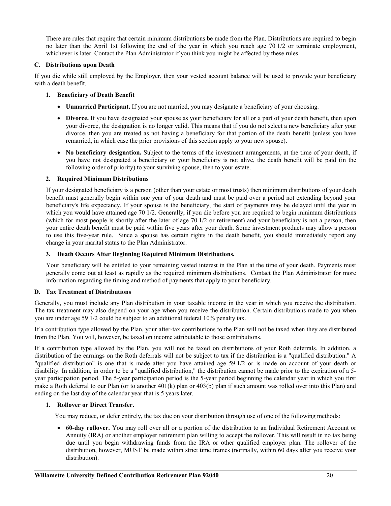There are rules that require that certain minimum distributions be made from the Plan. Distributions are required to begin no later than the April 1st following the end of the year in which you reach age 70 1/2 or terminate employment, whichever is later. Contact the Plan Administrator if you think you might be affected by these rules.

# **C. Distributions upon Death**

If you die while still employed by the Employer, then your vested account balance will be used to provide your beneficiary with a death benefit.

- **1. Beneficiary of Death Benefit**
	- **Unmarried Participant.** If you are not married, you may designate a beneficiary of your choosing.
	- **Divorce.** If you have designated your spouse as your beneficiary for all or a part of your death benefit, then upon your divorce, the designation is no longer valid. This means that if you do not select a new beneficiary after your divorce, then you are treated as not having a beneficiary for that portion of the death benefit (unless you have remarried, in which case the prior provisions of this section apply to your new spouse).
	- **No beneficiary designation.** Subject to the terms of the investment arrangements, at the time of your death, if you have not designated a beneficiary or your beneficiary is not alive, the death benefit will be paid (in the following order of priority) to your surviving spouse, then to your estate.

# **2. Required Minimum Distributions**

If your designated beneficiary is a person (other than your estate or most trusts) then minimum distributions of your death benefit must generally begin within one year of your death and must be paid over a period not extending beyond your beneficiary's life expectancy. If your spouse is the beneficiary, the start of payments may be delayed until the year in which you would have attained age 70 1/2. Generally, if you die before you are required to begin minimum distributions (which for most people is shortly after the later of age 70 1/2 or retirement) and your beneficiary is not a person, then your entire death benefit must be paid within five years after your death. Some investment products may allow a person to use this five-year rule. Since a spouse has certain rights in the death benefit, you should immediately report any change in your marital status to the Plan Administrator.

# **3. Death Occurs After Beginning Required Minimum Distributions.**

Your beneficiary will be entitled to your remaining vested interest in the Plan at the time of your death. Payments must generally come out at least as rapidly as the required minimum distributions. Contact the Plan Administrator for more information regarding the timing and method of payments that apply to your beneficiary.

# **D. Tax Treatment of Distributions**

Generally, you must include any Plan distribution in your taxable income in the year in which you receive the distribution. The tax treatment may also depend on your age when you receive the distribution. Certain distributions made to you when you are under age 59 1/2 could be subject to an additional federal 10% penalty tax.

If a contribution type allowed by the Plan, your after-tax contributions to the Plan will not be taxed when they are distributed from the Plan. You will, however, be taxed on income attributable to those contributions.

If a contribution type allowed by the Plan, you will not be taxed on distributions of your Roth deferrals. In addition, a distribution of the earnings on the Roth deferrals will not be subject to tax if the distribution is a "qualified distribution." A "qualified distribution" is one that is made after you have attained age 59 1/2 or is made on account of your death or disability. In addition, in order to be a "qualified distribution," the distribution cannot be made prior to the expiration of a 5 year participation period. The 5-year participation period is the 5-year period beginning the calendar year in which you first make a Roth deferral to our Plan (or to another  $401(k)$  plan or  $403(b)$  plan if such amount was rolled over into this Plan) and ending on the last day of the calendar year that is 5 years later.

# **1. Rollover or Direct Transfer.**

You may reduce, or defer entirely, the tax due on your distribution through use of one of the following methods:

• **60-day rollover.** You may roll over all or a portion of the distribution to an Individual Retirement Account or Annuity (IRA) or another employer retirement plan willing to accept the rollover. This will result in no tax being due until you begin withdrawing funds from the IRA or other qualified employer plan. The rollover of the distribution, however, MUST be made within strict time frames (normally, within 60 days after you receive your distribution).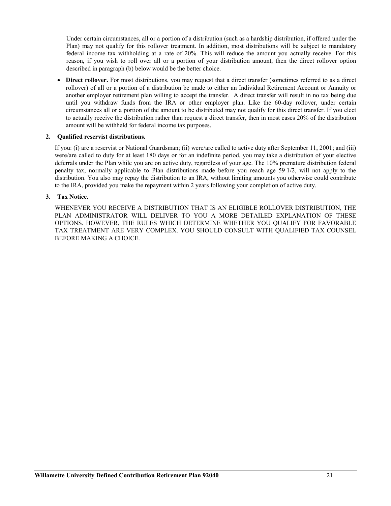Under certain circumstances, all or a portion of a distribution (such as a hardship distribution, if offered under the Plan) may not qualify for this rollover treatment. In addition, most distributions will be subject to mandatory federal income tax withholding at a rate of 20%. This will reduce the amount you actually receive. For this reason, if you wish to roll over all or a portion of your distribution amount, then the direct rollover option described in paragraph (b) below would be the better choice.

• **Direct rollover.** For most distributions, you may request that a direct transfer (sometimes referred to as a direct rollover) of all or a portion of a distribution be made to either an Individual Retirement Account or Annuity or another employer retirement plan willing to accept the transfer. A direct transfer will result in no tax being due until you withdraw funds from the IRA or other employer plan. Like the 60-day rollover, under certain circumstances all or a portion of the amount to be distributed may not qualify for this direct transfer. If you elect to actually receive the distribution rather than request a direct transfer, then in most cases 20% of the distribution amount will be withheld for federal income tax purposes.

# **2. Qualified reservist distributions.**

If you: (i) are a reservist or National Guardsman; (ii) were/are called to active duty after September 11, 2001; and (iii) were/are called to duty for at least 180 days or for an indefinite period, you may take a distribution of your elective deferrals under the Plan while you are on active duty, regardless of your age. The 10% premature distribution federal penalty tax, normally applicable to Plan distributions made before you reach age 59 1/2, will not apply to the distribution. You also may repay the distribution to an IRA, without limiting amounts you otherwise could contribute to the IRA, provided you make the repayment within 2 years following your completion of active duty.

# **3. Tax Notice.**

WHENEVER YOU RECEIVE A DISTRIBUTION THAT IS AN ELIGIBLE ROLLOVER DISTRIBUTION, THE PLAN ADMINISTRATOR WILL DELIVER TO YOU A MORE DETAILED EXPLANATION OF THESE OPTIONS. HOWEVER, THE RULES WHICH DETERMINE WHETHER YOU QUALIFY FOR FAVORABLE TAX TREATMENT ARE VERY COMPLEX. YOU SHOULD CONSULT WITH QUALIFIED TAX COUNSEL BEFORE MAKING A CHOICE.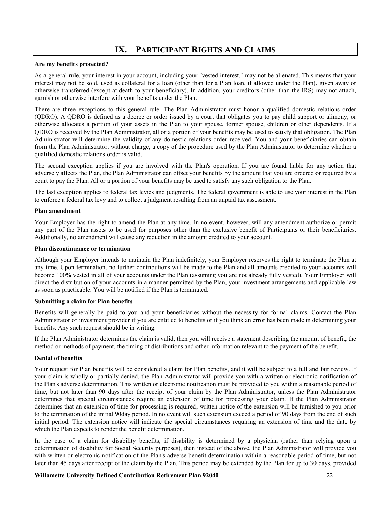# **IX. PARTICIPANT RIGHTS AND CLAIMS**

#### <span id="page-21-0"></span>**Are my benefits protected?**

As a general rule, your interest in your account, including your "vested interest," may not be alienated. This means that your interest may not be sold, used as collateral for a loan (other than for a Plan loan, if allowed under the Plan), given away or otherwise transferred (except at death to your beneficiary). In addition, your creditors (other than the IRS) may not attach, garnish or otherwise interfere with your benefits under the Plan.

There are three exceptions to this general rule. The Plan Administrator must honor a qualified domestic relations order (QDRO). A QDRO is defined as a decree or order issued by a court that obligates you to pay child support or alimony, or otherwise allocates a portion of your assets in the Plan to your spouse, former spouse, children or other dependents. If a QDRO is received by the Plan Administrator, all or a portion of your benefits may be used to satisfy that obligation. The Plan Administrator will determine the validity of any domestic relations order received. You and your beneficiaries can obtain from the Plan Administrator, without charge, a copy of the procedure used by the Plan Administrator to determine whether a qualified domestic relations order is valid.

The second exception applies if you are involved with the Plan's operation. If you are found liable for any action that adversely affects the Plan, the Plan Administrator can offset your benefits by the amount that you are ordered or required by a court to pay the Plan. All or a portion of your benefits may be used to satisfy any such obligation to the Plan.

The last exception applies to federal tax levies and judgments. The federal government is able to use your interest in the Plan to enforce a federal tax levy and to collect a judgment resulting from an unpaid tax assessment.

#### **Plan amendment**

Your Employer has the right to amend the Plan at any time. In no event, however, will any amendment authorize or permit any part of the Plan assets to be used for purposes other than the exclusive benefit of Participants or their beneficiaries. Additionally, no amendment will cause any reduction in the amount credited to your account.

#### **Plan discontinuance or termination**

Although your Employer intends to maintain the Plan indefinitely, your Employer reserves the right to terminate the Plan at any time. Upon termination, no further contributions will be made to the Plan and all amounts credited to your accounts will become 100% vested in all of your accounts under the Plan (assuming you are not already fully vested). Your Employer will direct the distribution of your accounts in a manner permitted by the Plan, your investment arrangements and applicable law as soon as practicable. You will be notified if the Plan is terminated.

#### **Submitting a claim for Plan benefits**

Benefits will generally be paid to you and your beneficiaries without the necessity for formal claims. Contact the Plan Administrator or investment provider if you are entitled to benefits or if you think an error has been made in determining your benefits. Any such request should be in writing.

If the Plan Administrator determines the claim is valid, then you will receive a statement describing the amount of benefit, the method or methods of payment, the timing of distributions and other information relevant to the payment of the benefit.

# **Denial of benefits**

Your request for Plan benefits will be considered a claim for Plan benefits, and it will be subject to a full and fair review. If your claim is wholly or partially denied, the Plan Administrator will provide you with a written or electronic notification of the Plan's adverse determination. This written or electronic notification must be provided to you within a reasonable period of time, but not later than 90 days after the receipt of your claim by the Plan Administrator, unless the Plan Administrator determines that special circumstances require an extension of time for processing your claim. If the Plan Administrator determines that an extension of time for processing is required, written notice of the extension will be furnished to you prior to the termination of the initial 90day period. In no event will such extension exceed a period of 90 days from the end of such initial period. The extension notice will indicate the special circumstances requiring an extension of time and the date by which the Plan expects to render the benefit determination.

In the case of a claim for disability benefits, if disability is determined by a physician (rather than relying upon a determination of disability for Social Security purposes), then instead of the above, the Plan Administrator will provide you with written or electronic notification of the Plan's adverse benefit determination within a reasonable period of time, but not later than 45 days after receipt of the claim by the Plan. This period may be extended by the Plan for up to 30 days, provided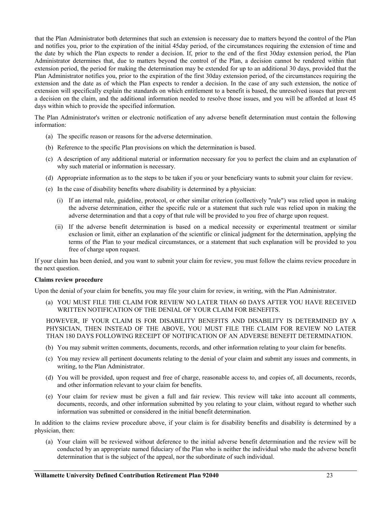that the Plan Administrator both determines that such an extension is necessary due to matters beyond the control of the Plan and notifies you, prior to the expiration of the initial 45day period, of the circumstances requiring the extension of time and the date by which the Plan expects to render a decision. If, prior to the end of the first 30day extension period, the Plan Administrator determines that, due to matters beyond the control of the Plan, a decision cannot be rendered within that extension period, the period for making the determination may be extended for up to an additional 30 days, provided that the Plan Administrator notifies you, prior to the expiration of the first 30day extension period, of the circumstances requiring the extension and the date as of which the Plan expects to render a decision. In the case of any such extension, the notice of extension will specifically explain the standards on which entitlement to a benefit is based, the unresolved issues that prevent a decision on the claim, and the additional information needed to resolve those issues, and you will be afforded at least 45 days within which to provide the specified information.

The Plan Administrator's written or electronic notification of any adverse benefit determination must contain the following information:

- (a) The specific reason or reasons for the adverse determination.
- (b) Reference to the specific Plan provisions on which the determination is based.
- (c) A description of any additional material or information necessary for you to perfect the claim and an explanation of why such material or information is necessary.
- (d) Appropriate information as to the steps to be taken if you or your beneficiary wants to submit your claim for review.
- (e) In the case of disability benefits where disability is determined by a physician:
	- (i) If an internal rule, guideline, protocol, or other similar criterion (collectively "rule") was relied upon in making the adverse determination, either the specific rule or a statement that such rule was relied upon in making the adverse determination and that a copy of that rule will be provided to you free of charge upon request.
	- (ii) If the adverse benefit determination is based on a medical necessity or experimental treatment or similar exclusion or limit, either an explanation of the scientific or clinical judgment for the determination, applying the terms of the Plan to your medical circumstances, or a statement that such explanation will be provided to you free of charge upon request.

If your claim has been denied, and you want to submit your claim for review, you must follow the claims review procedure in the next question.

#### **Claims review procedure**

Upon the denial of your claim for benefits, you may file your claim for review, in writing, with the Plan Administrator.

(a) YOU MUST FILE THE CLAIM FOR REVIEW NO LATER THAN 60 DAYS AFTER YOU HAVE RECEIVED WRITTEN NOTIFICATION OF THE DENIAL OF YOUR CLAIM FOR BENEFITS.

HOWEVER, IF YOUR CLAIM IS FOR DISABILITY BENEFITS AND DISABILITY IS DETERMINED BY A PHYSICIAN, THEN INSTEAD OF THE ABOVE, YOU MUST FILE THE CLAIM FOR REVIEW NO LATER THAN 180 DAYS FOLLOWING RECEIPT OF NOTIFICATION OF AN ADVERSE BENEFIT DETERMINATION.

- (b) You may submit written comments, documents, records, and other information relating to your claim for benefits.
- (c) You may review all pertinent documents relating to the denial of your claim and submit any issues and comments, in writing, to the Plan Administrator.
- (d) You will be provided, upon request and free of charge, reasonable access to, and copies of, all documents, records, and other information relevant to your claim for benefits.
- (e) Your claim for review must be given a full and fair review. This review will take into account all comments, documents, records, and other information submitted by you relating to your claim, without regard to whether such information was submitted or considered in the initial benefit determination.

In addition to the claims review procedure above, if your claim is for disability benefits and disability is determined by a physician, then:

(a) Your claim will be reviewed without deference to the initial adverse benefit determination and the review will be conducted by an appropriate named fiduciary of the Plan who is neither the individual who made the adverse benefit determination that is the subject of the appeal, nor the subordinate of such individual.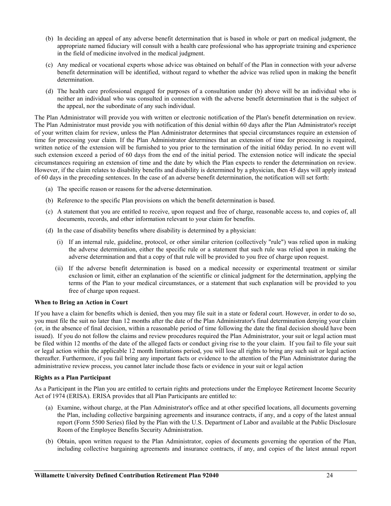- (b) In deciding an appeal of any adverse benefit determination that is based in whole or part on medical judgment, the appropriate named fiduciary will consult with a health care professional who has appropriate training and experience in the field of medicine involved in the medical judgment.
- (c) Any medical or vocational experts whose advice was obtained on behalf of the Plan in connection with your adverse benefit determination will be identified, without regard to whether the advice was relied upon in making the benefit determination.
- (d) The health care professional engaged for purposes of a consultation under (b) above will be an individual who is neither an individual who was consulted in connection with the adverse benefit determination that is the subject of the appeal, nor the subordinate of any such individual.

The Plan Administrator will provide you with written or electronic notification of the Plan's benefit determination on review. The Plan Administrator must provide you with notification of this denial within 60 days after the Plan Administrator's receipt of your written claim for review, unless the Plan Administrator determines that special circumstances require an extension of time for processing your claim. If the Plan Administrator determines that an extension of time for processing is required, written notice of the extension will be furnished to you prior to the termination of the initial 60day period. In no event will such extension exceed a period of 60 days from the end of the initial period. The extension notice will indicate the special circumstances requiring an extension of time and the date by which the Plan expects to render the determination on review. However, if the claim relates to disability benefits and disability is determined by a physician, then 45 days will apply instead of 60 days in the preceding sentences. In the case of an adverse benefit determination, the notification will set forth:

- (a) The specific reason or reasons for the adverse determination.
- (b) Reference to the specific Plan provisions on which the benefit determination is based.
- (c) A statement that you are entitled to receive, upon request and free of charge, reasonable access to, and copies of, all documents, records, and other information relevant to your claim for benefits.
- (d) In the case of disability benefits where disability is determined by a physician:
	- (i) If an internal rule, guideline, protocol, or other similar criterion (collectively "rule") was relied upon in making the adverse determination, either the specific rule or a statement that such rule was relied upon in making the adverse determination and that a copy of that rule will be provided to you free of charge upon request.
	- (ii) If the adverse benefit determination is based on a medical necessity or experimental treatment or similar exclusion or limit, either an explanation of the scientific or clinical judgment for the determination, applying the terms of the Plan to your medical circumstances, or a statement that such explanation will be provided to you free of charge upon request.

# **When to Bring an Action in Court**

If you have a claim for benefits which is denied, then you may file suit in a state or federal court. However, in order to do so, you must file the suit no later than 12 months after the date of the Plan Administrator's final determination denying your claim (or, in the absence of final decision, within a reasonable period of time following the date the final decision should have been issued). If you do not follow the claims and review procedures required the Plan Administrator, your suit or legal action must be filed within 12 months of the date of the alleged facts or conduct giving rise to the your claim. If you fail to file your suit or legal action within the applicable 12 month limitations period, you will lose all rights to bring any such suit or legal action thereafter. Furthermore, if you fail bring any important facts or evidence to the attention of the Plan Administrator during the administrative review process, you cannot later include those facts or evidence in your suit or legal action

# **Rights as a Plan Participant**

As a Participant in the Plan you are entitled to certain rights and protections under the Employee Retirement Income Security Act of 1974 (ERISA). ERISA provides that all Plan Participants are entitled to:

- (a) Examine, without charge, at the Plan Administrator's office and at other specified locations, all documents governing the Plan, including collective bargaining agreements and insurance contracts, if any, and a copy of the latest annual report (Form 5500 Series) filed by the Plan with the U.S. Department of Labor and available at the Public Disclosure Room of the Employee Benefits Security Administration.
- (b) Obtain, upon written request to the Plan Administrator, copies of documents governing the operation of the Plan, including collective bargaining agreements and insurance contracts, if any, and copies of the latest annual report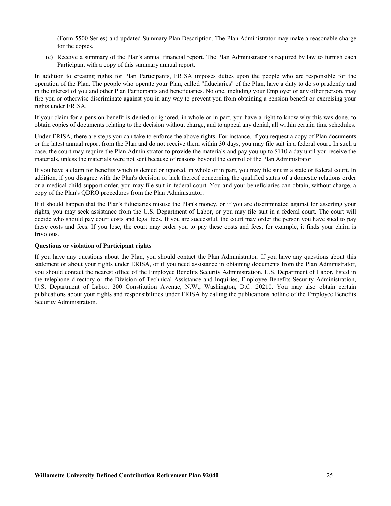(Form 5500 Series) and updated Summary Plan Description. The Plan Administrator may make a reasonable charge for the copies.

(c) Receive a summary of the Plan's annual financial report. The Plan Administrator is required by law to furnish each Participant with a copy of this summary annual report.

In addition to creating rights for Plan Participants, ERISA imposes duties upon the people who are responsible for the operation of the Plan. The people who operate your Plan, called "fiduciaries" of the Plan, have a duty to do so prudently and in the interest of you and other Plan Participants and beneficiaries. No one, including your Employer or any other person, may fire you or otherwise discriminate against you in any way to prevent you from obtaining a pension benefit or exercising your rights under ERISA.

If your claim for a pension benefit is denied or ignored, in whole or in part, you have a right to know why this was done, to obtain copies of documents relating to the decision without charge, and to appeal any denial, all within certain time schedules.

Under ERISA, there are steps you can take to enforce the above rights. For instance, if you request a copy of Plan documents or the latest annual report from the Plan and do not receive them within 30 days, you may file suit in a federal court. In such a case, the court may require the Plan Administrator to provide the materials and pay you up to \$110 a day until you receive the materials, unless the materials were not sent because of reasons beyond the control of the Plan Administrator.

If you have a claim for benefits which is denied or ignored, in whole or in part, you may file suit in a state or federal court. In addition, if you disagree with the Plan's decision or lack thereof concerning the qualified status of a domestic relations order or a medical child support order, you may file suit in federal court. You and your beneficiaries can obtain, without charge, a copy of the Plan's QDRO procedures from the Plan Administrator.

If it should happen that the Plan's fiduciaries misuse the Plan's money, or if you are discriminated against for asserting your rights, you may seek assistance from the U.S. Department of Labor, or you may file suit in a federal court. The court will decide who should pay court costs and legal fees. If you are successful, the court may order the person you have sued to pay these costs and fees. If you lose, the court may order you to pay these costs and fees, for example, it finds your claim is frivolous.

# **Questions or violation of Participant rights**

If you have any questions about the Plan, you should contact the Plan Administrator. If you have any questions about this statement or about your rights under ERISA, or if you need assistance in obtaining documents from the Plan Administrator, you should contact the nearest office of the Employee Benefits Security Administration, U.S. Department of Labor, listed in the telephone directory or the Division of Technical Assistance and Inquiries, Employee Benefits Security Administration, U.S. Department of Labor, 200 Constitution Avenue, N.W., Washington, D.C. 20210. You may also obtain certain publications about your rights and responsibilities under ERISA by calling the publications hotline of the Employee Benefits Security Administration.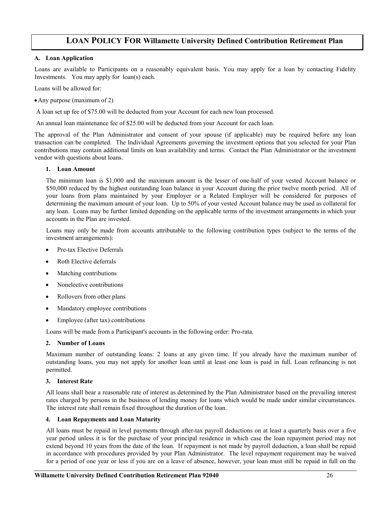# **LOAN POLICY FOR Willamette University Defined Contribution Retirement Plan**

# <span id="page-25-0"></span>**A. Loan Application**

Loans are available to Participants on a reasonably equivalent basis. You may apply for a loan by contacting Fidelity Investments. You may apply for loan(s) each.

Loans will be allowed for:

•Any purpose (maximum of 2)

A loan set up fee of \$75.00 will be deducted from your Account for each new loan processed.

An annual loan maintenance fee of \$25.00 will be deducted from your Account for each loan.

The approval of the Plan Administrator and consent of your spouse (if applicable) may be required before any loan transaction can be completed. The Individual Agreements governing the investment options that you selected for your Plan contributions may contain additional limits on loan availability and terms. Contact the Plan Administrator or the investment vendor with questions about loans.

#### **1. Loan Amount**

The minimum loan is \$1,000 and the maximum amount is the lesser of one-half of your vested Account balance or \$50,000 reduced by the highest outstanding loan balance in your Account during the prior twelve month period. All of your loans from plans maintained by your Employer or a Related Employer will be considered for purposes of determining the maximum amount of your loan. Up to 50% of your vested Account balance may be used as collateral for any loan. Loans may be further limited depending on the applicable terms of the investment arrangements in which your accounts in the Plan are invested.

Loans may only be made from accounts attributable to the following contribution types (subject to the terms of the investment arrangements):

- Pre-tax Elective Deferrals
- Roth Elective deferrals
- Matching contributions
- Nonelective contributions
- Rollovers from other plans
- Mandatory employee contributions
- Employee (after tax) contributions

Loans will be made from a Participant's accounts in the following order: Pro-rata.

#### **2. Number of Loans**

Maximum number of outstanding loans: 2 loans at any given time. If you already have the maximum number of outstanding loans, you may not apply for another loan until at least one loan is paid in full. Loan refinancing is not permitted.

# **3. Interest Rate**

All loans shall bear a reasonable rate of interest as determined by the Plan Administrator based on the prevailing interest rates charged by persons in the business of lending money for loans which would be made under similar circumstances. The interest rate shall remain fixed throughout the duration of the loan.

# **4. Loan Repayments and Loan Maturity**

All loans must be repaid in level payments through after-tax payroll deductions on at least a quarterly basis over a five year period unless it is for the purchase of your principal residence in which case the loan repayment period may not extend beyond 10 years from the date of the loan. If repayment is not made by payroll deduction, a loan shall be repaid in accordance with procedures provided by your Plan Administrator. The level repayment requirement may be waived for a period of one year or less if you are on a leave of absence, however, your loan must still be repaid in full on the